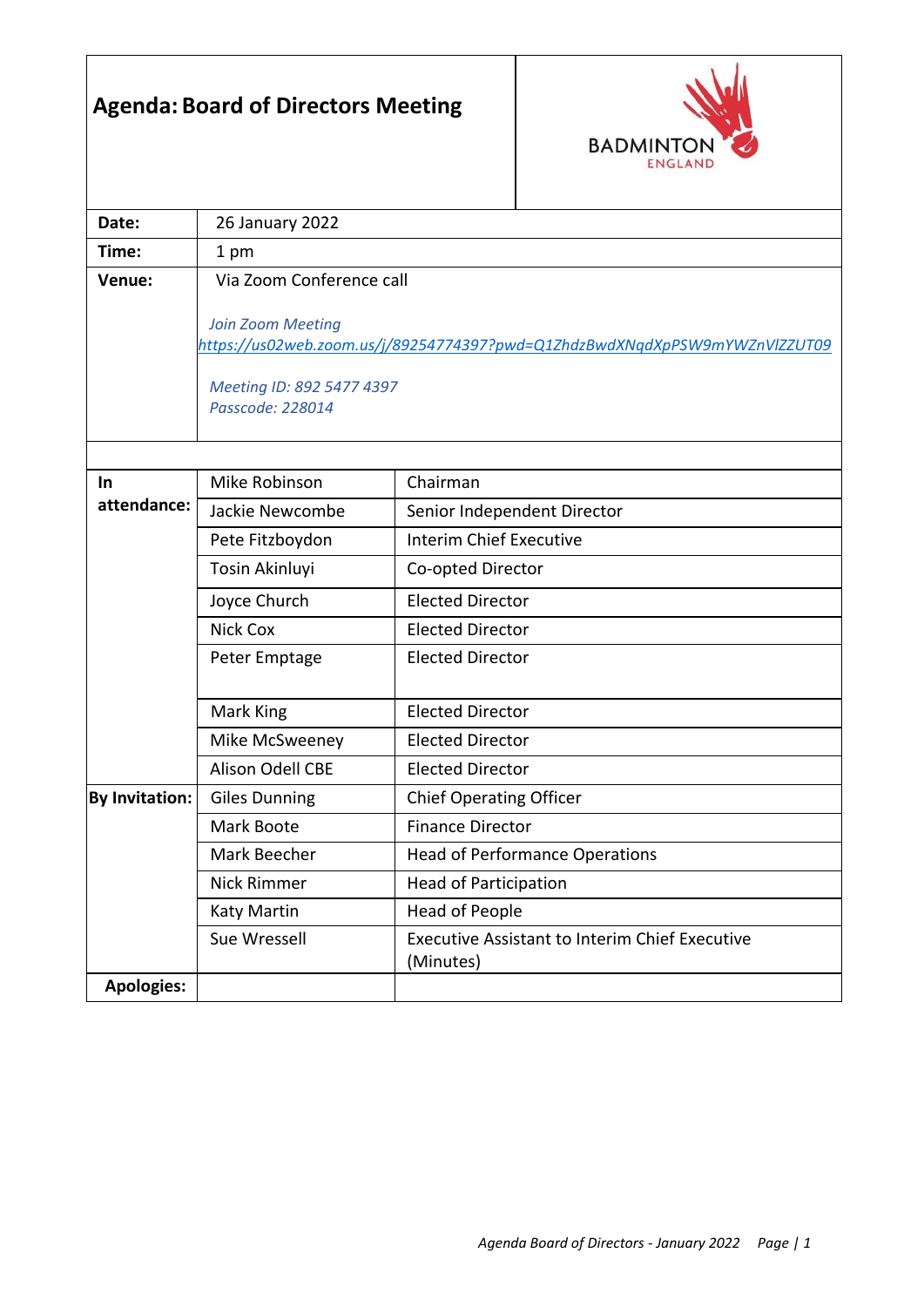## **Agenda: Board of Directors Meeting**



| Date:             | <b>26 January 2022</b>                                                                          |                                                                    |  |  |
|-------------------|-------------------------------------------------------------------------------------------------|--------------------------------------------------------------------|--|--|
| Time:             | 1 pm                                                                                            |                                                                    |  |  |
| Venue:            | Via Zoom Conference call                                                                        |                                                                    |  |  |
|                   |                                                                                                 |                                                                    |  |  |
|                   | Join Zoom Meeting<br>https://us02web.zoom.us/j/89254774397?pwd=Q1ZhdzBwdXNqdXpPSW9mYWZnVlZZUT09 |                                                                    |  |  |
|                   |                                                                                                 |                                                                    |  |  |
|                   | Meeting ID: 892 5477 4397                                                                       |                                                                    |  |  |
|                   | Passcode: 228014                                                                                |                                                                    |  |  |
|                   |                                                                                                 |                                                                    |  |  |
| In.               | Mike Robinson                                                                                   | Chairman                                                           |  |  |
| attendance:       | Jackie Newcombe                                                                                 | Senior Independent Director                                        |  |  |
|                   | Pete Fitzboydon                                                                                 | <b>Interim Chief Executive</b>                                     |  |  |
|                   | Tosin Akinluyi                                                                                  | Co-opted Director                                                  |  |  |
|                   | Joyce Church                                                                                    | <b>Elected Director</b>                                            |  |  |
|                   | Nick Cox                                                                                        | <b>Elected Director</b>                                            |  |  |
|                   | Peter Emptage                                                                                   | <b>Elected Director</b>                                            |  |  |
|                   |                                                                                                 |                                                                    |  |  |
|                   | Mark King                                                                                       | <b>Elected Director</b>                                            |  |  |
|                   | Mike McSweeney                                                                                  | <b>Elected Director</b>                                            |  |  |
|                   | Alison Odell CBE                                                                                | <b>Elected Director</b>                                            |  |  |
| By Invitation:    | <b>Giles Dunning</b>                                                                            | <b>Chief Operating Officer</b>                                     |  |  |
|                   | Mark Boote                                                                                      | <b>Finance Director</b>                                            |  |  |
|                   | Mark Beecher                                                                                    | <b>Head of Performance Operations</b>                              |  |  |
|                   | Nick Rimmer                                                                                     | <b>Head of Participation</b>                                       |  |  |
|                   | Katy Martin                                                                                     | Head of People                                                     |  |  |
|                   | Sue Wressell                                                                                    | <b>Executive Assistant to Interim Chief Executive</b><br>(Minutes) |  |  |
| <b>Apologies:</b> |                                                                                                 |                                                                    |  |  |